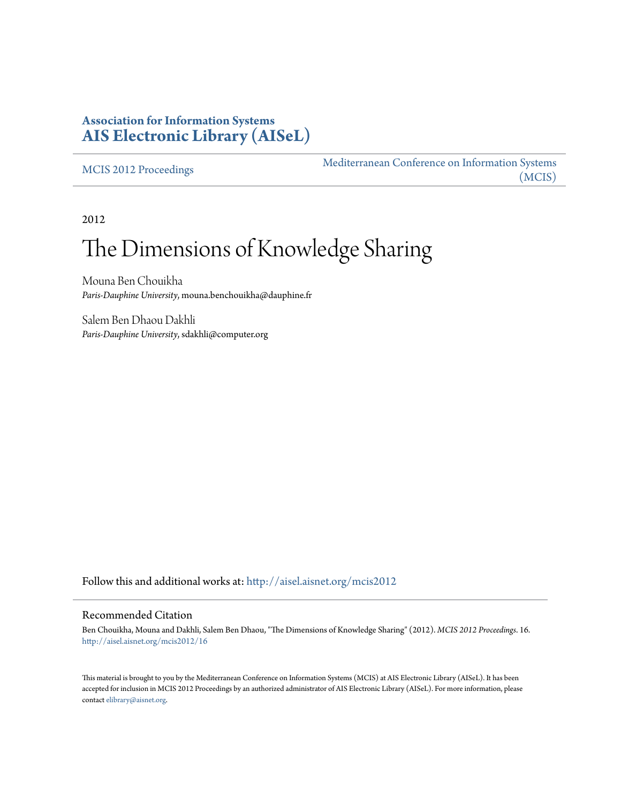# **Association for Information Systems [AIS Electronic Library \(AISeL\)](http://aisel.aisnet.org?utm_source=aisel.aisnet.org%2Fmcis2012%2F16&utm_medium=PDF&utm_campaign=PDFCoverPages)**

[MCIS 2012 Proceedings](http://aisel.aisnet.org/mcis2012?utm_source=aisel.aisnet.org%2Fmcis2012%2F16&utm_medium=PDF&utm_campaign=PDFCoverPages)

[Mediterranean Conference on Information Systems](http://aisel.aisnet.org/mcis?utm_source=aisel.aisnet.org%2Fmcis2012%2F16&utm_medium=PDF&utm_campaign=PDFCoverPages) [\(MCIS\)](http://aisel.aisnet.org/mcis?utm_source=aisel.aisnet.org%2Fmcis2012%2F16&utm_medium=PDF&utm_campaign=PDFCoverPages)

2012

# The Dimensions of Knowledge Sharing

Mouna Ben Chouikha *Paris-Dauphine University*, mouna.benchouikha@dauphine.fr

Salem Ben Dhaou Dakhli *Paris-Dauphine University*, sdakhli@computer.org

Follow this and additional works at: [http://aisel.aisnet.org/mcis2012](http://aisel.aisnet.org/mcis2012?utm_source=aisel.aisnet.org%2Fmcis2012%2F16&utm_medium=PDF&utm_campaign=PDFCoverPages)

#### Recommended Citation

Ben Chouikha, Mouna and Dakhli, Salem Ben Dhaou, "The Dimensions of Knowledge Sharing" (2012). *MCIS 2012 Proceedings*. 16. [http://aisel.aisnet.org/mcis2012/16](http://aisel.aisnet.org/mcis2012/16?utm_source=aisel.aisnet.org%2Fmcis2012%2F16&utm_medium=PDF&utm_campaign=PDFCoverPages)

This material is brought to you by the Mediterranean Conference on Information Systems (MCIS) at AIS Electronic Library (AISeL). It has been accepted for inclusion in MCIS 2012 Proceedings by an authorized administrator of AIS Electronic Library (AISeL). For more information, please contact [elibrary@aisnet.org.](mailto:elibrary@aisnet.org%3E)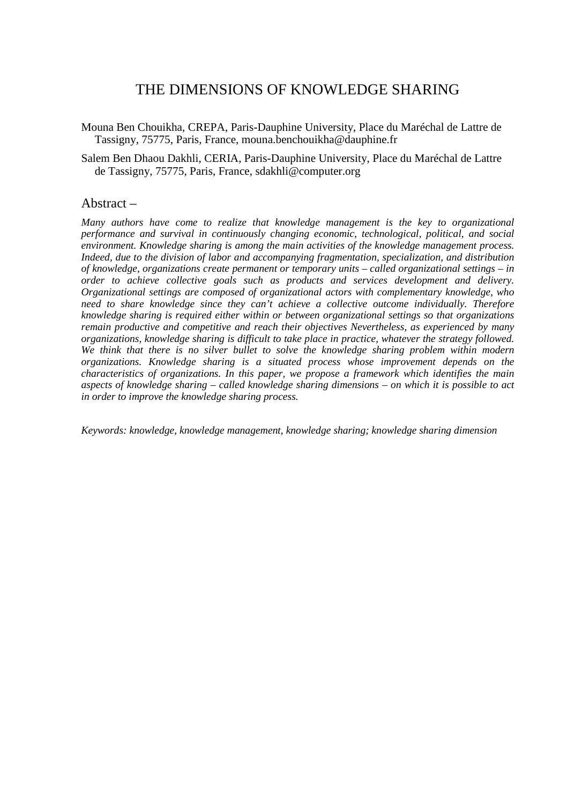# THE DIMENSIONS OF KNOWLEDGE SHARING

Mouna Ben Chouikha, CREPA, Paris-Dauphine University, Place du Maréchal de Lattre de Tassigny, 75775, Paris, France, mouna.benchouikha@dauphine.fr

Salem Ben Dhaou Dakhli, CERIA, Paris-Dauphine University, Place du Maréchal de Lattre de Tassigny, 75775, Paris, France, sdakhli@computer.org

### Abstract –

*Many authors have come to realize that knowledge management is the key to organizational performance and survival in continuously changing economic, technological, political, and social environment. Knowledge sharing is among the main activities of the knowledge management process. Indeed, due to the division of labor and accompanying fragmentation, specialization, and distribution of knowledge, organizations create permanent or temporary units – called organizational settings – in order to achieve collective goals such as products and services development and delivery. Organizational settings are composed of organizational actors with complementary knowledge, who need to share knowledge since they can't achieve a collective outcome individually. Therefore knowledge sharing is required either within or between organizational settings so that organizations remain productive and competitive and reach their objectives Nevertheless, as experienced by many organizations, knowledge sharing is difficult to take place in practice, whatever the strategy followed. We think that there is no silver bullet to solve the knowledge sharing problem within modern organizations. Knowledge sharing is a situated process whose improvement depends on the characteristics of organizations. In this paper, we propose a framework which identifies the main aspects of knowledge sharing – called knowledge sharing dimensions – on which it is possible to act in order to improve the knowledge sharing process.* 

*Keywords: knowledge, knowledge management, knowledge sharing; knowledge sharing dimension*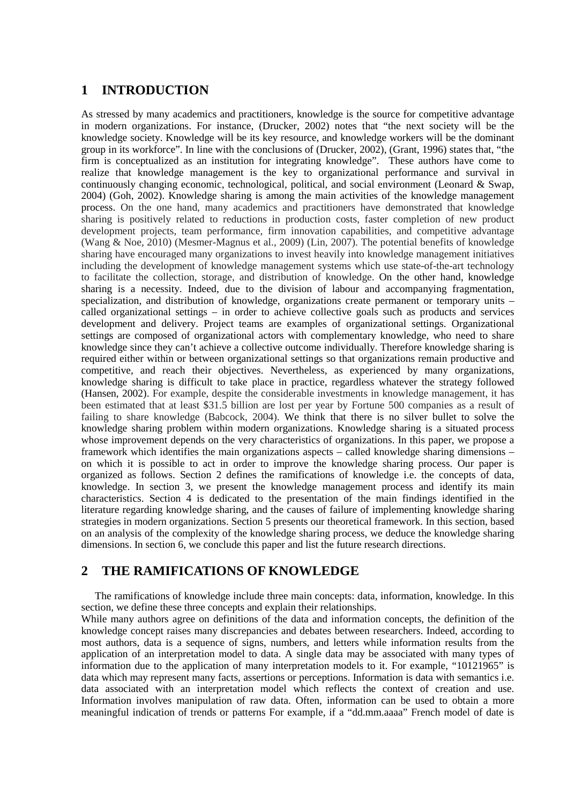## **1 INTRODUCTION**

As stressed by many academics and practitioners, knowledge is the source for competitive advantage in modern organizations. For instance, (Drucker, 2002) notes that "the next society will be the knowledge society. Knowledge will be its key resource, and knowledge workers will be the dominant group in its workforce". In line with the conclusions of (Drucker, 2002), (Grant, 1996) states that, "the firm is conceptualized as an institution for integrating knowledge". These authors have come to realize that knowledge management is the key to organizational performance and survival in continuously changing economic, technological, political, and social environment (Leonard & Swap, 2004) (Goh, 2002). Knowledge sharing is among the main activities of the knowledge management process. On the one hand, many academics and practitioners have demonstrated that knowledge sharing is positively related to reductions in production costs, faster completion of new product development projects, team performance, firm innovation capabilities, and competitive advantage (Wang & Noe, 2010) (Mesmer-Magnus et al., 2009) (Lin, 2007). The potential benefits of knowledge sharing have encouraged many organizations to invest heavily into knowledge management initiatives including the development of knowledge management systems which use state-of-the-art technology to facilitate the collection, storage, and distribution of knowledge. On the other hand, knowledge sharing is a necessity. Indeed, due to the division of labour and accompanying fragmentation, specialization, and distribution of knowledge, organizations create permanent or temporary units – called organizational settings – in order to achieve collective goals such as products and services development and delivery. Project teams are examples of organizational settings. Organizational settings are composed of organizational actors with complementary knowledge, who need to share knowledge since they can't achieve a collective outcome individually. Therefore knowledge sharing is required either within or between organizational settings so that organizations remain productive and competitive, and reach their objectives. Nevertheless, as experienced by many organizations, knowledge sharing is difficult to take place in practice, regardless whatever the strategy followed (Hansen, 2002). For example, despite the considerable investments in knowledge management, it has been estimated that at least \$31.5 billion are lost per year by Fortune 500 companies as a result of failing to share knowledge (Babcock, 2004). We think that there is no silver bullet to solve the knowledge sharing problem within modern organizations. Knowledge sharing is a situated process whose improvement depends on the very characteristics of organizations. In this paper, we propose a framework which identifies the main organizations aspects – called knowledge sharing dimensions – on which it is possible to act in order to improve the knowledge sharing process. Our paper is organized as follows. Section 2 defines the ramifications of knowledge i.e. the concepts of data, knowledge. In section 3, we present the knowledge management process and identify its main characteristics. Section 4 is dedicated to the presentation of the main findings identified in the literature regarding knowledge sharing, and the causes of failure of implementing knowledge sharing strategies in modern organizations. Section 5 presents our theoretical framework. In this section, based on an analysis of the complexity of the knowledge sharing process, we deduce the knowledge sharing dimensions. In section 6, we conclude this paper and list the future research directions.

## **2 THE RAMIFICATIONS OF KNOWLEDGE**

The ramifications of knowledge include three main concepts: data, information, knowledge. In this section, we define these three concepts and explain their relationships.

While many authors agree on definitions of the data and information concepts, the definition of the knowledge concept raises many discrepancies and debates between researchers. Indeed, according to most authors, data is a sequence of signs, numbers, and letters while information results from the application of an interpretation model to data. A single data may be associated with many types of information due to the application of many interpretation models to it. For example, "10121965" is data which may represent many facts, assertions or perceptions. Information is data with semantics i.e. data associated with an interpretation model which reflects the context of creation and use. Information involves manipulation of raw data. Often, information can be used to obtain a more meaningful indication of trends or patterns For example, if a "dd.mm.aaaa" French model of date is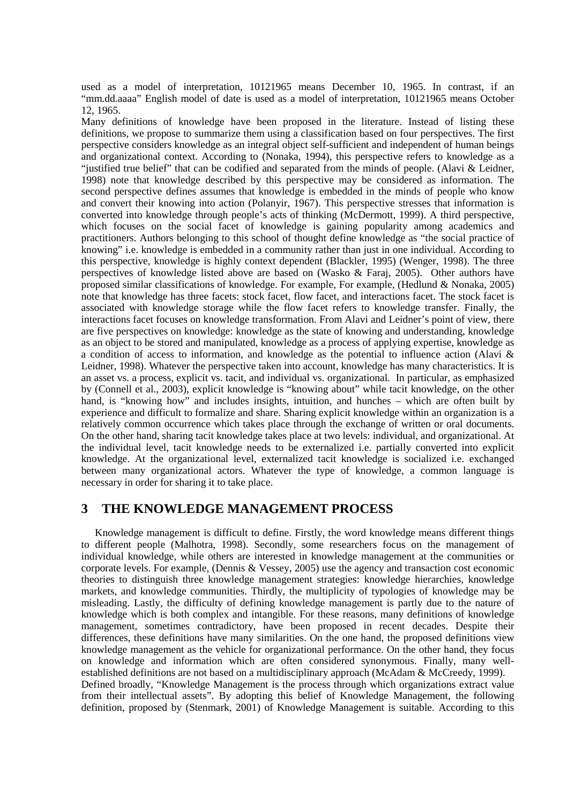used as a model of interpretation, 10121965 means December 10, 1965. In contrast, if an "mm.dd.aaaa" English model of date is used as a model of interpretation, 10121965 means October 12, 1965.

Many definitions of knowledge have been proposed in the literature. Instead of listing these definitions, we propose to summarize them using a classification based on four perspectives. The first perspective considers knowledge as an integral object self-sufficient and independent of human beings and organizational context. According to (Nonaka, 1994), this perspective refers to knowledge as a "justified true belief" that can be codified and separated from the minds of people. (Alavi & Leidner, 1998) note that knowledge described by this perspective may be considered as information. The second perspective defines assumes that knowledge is embedded in the minds of people who know and convert their knowing into action (Polanyir, 1967). This perspective stresses that information is converted into knowledge through people's acts of thinking (McDermott, 1999). A third perspective, which focuses on the social facet of knowledge is gaining popularity among academics and practitioners. Authors belonging to this school of thought define knowledge as "the social practice of knowing" i.e. knowledge is embedded in a community rather than just in one individual. According to this perspective, knowledge is highly context dependent (Blackler, 1995) (Wenger, 1998). The three perspectives of knowledge listed above are based on (Wasko & Faraj, 2005). Other authors have proposed similar classifications of knowledge. For example, For example, (Hedlund & Nonaka, 2005) note that knowledge has three facets: stock facet, flow facet, and interactions facet. The stock facet is associated with knowledge storage while the flow facet refers to knowledge transfer. Finally, the interactions facet focuses on knowledge transformation. From Alavi and Leidner's point of view, there are five perspectives on knowledge: knowledge as the state of knowing and understanding, knowledge as an object to be stored and manipulated, knowledge as a process of applying expertise, knowledge as a condition of access to information, and knowledge as the potential to influence action (Alavi & Leidner, 1998). Whatever the perspective taken into account, knowledge has many characteristics. It is an asset vs. a process, explicit vs. tacit, and individual vs. organizational. In particular, as emphasized by (Connell et al., 2003), explicit knowledge is "knowing about" while tacit knowledge, on the other hand, is "knowing how" and includes insights, intuition, and hunches – which are often built by experience and difficult to formalize and share. Sharing explicit knowledge within an organization is a relatively common occurrence which takes place through the exchange of written or oral documents. On the other hand, sharing tacit knowledge takes place at two levels: individual, and organizational. At the individual level, tacit knowledge needs to be externalized i.e. partially converted into explicit knowledge. At the organizational level, externalized tacit knowledge is socialized i.e. exchanged between many organizational actors. Whatever the type of knowledge, a common language is necessary in order for sharing it to take place.

## **3 THE KNOWLEDGE MANAGEMENT PROCESS**

Knowledge management is difficult to define. Firstly, the word knowledge means different things to different people (Malhotra, 1998). Secondly, some researchers focus on the management of individual knowledge, while others are interested in knowledge management at the communities or corporate levels. For example, (Dennis & Vessey, 2005) use the agency and transaction cost economic theories to distinguish three knowledge management strategies: knowledge hierarchies, knowledge markets, and knowledge communities. Thirdly, the multiplicity of typologies of knowledge may be misleading. Lastly, the difficulty of defining knowledge management is partly due to the nature of knowledge which is both complex and intangible. For these reasons, many definitions of knowledge management, sometimes contradictory, have been proposed in recent decades. Despite their differences, these definitions have many similarities. On the one hand, the proposed definitions view knowledge management as the vehicle for organizational performance. On the other hand, they focus on knowledge and information which are often considered synonymous. Finally, many wellestablished definitions are not based on a multidisciplinary approach (McAdam & McCreedy, 1999). Defined broadly, "Knowledge Management is the process through which organizations extract value

from their intellectual assets". By adopting this belief of Knowledge Management, the following definition, proposed by (Stenmark, 2001) of Knowledge Management is suitable. According to this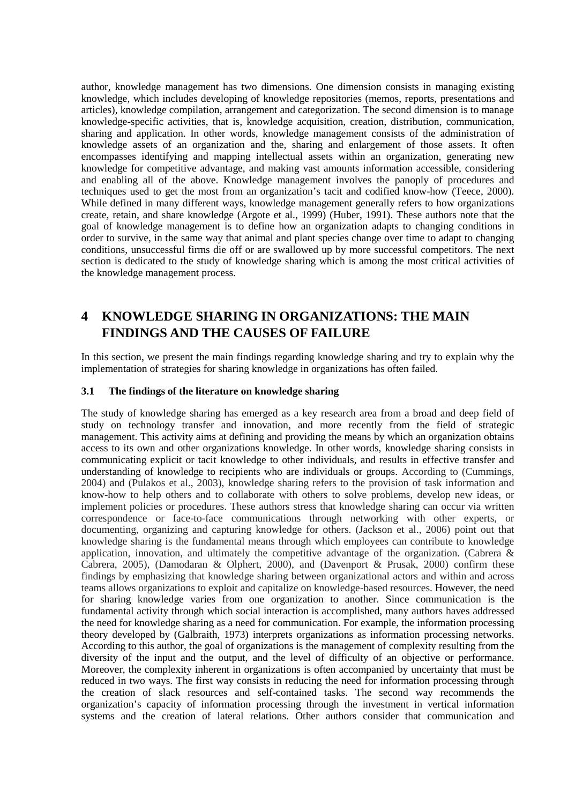author, knowledge management has two dimensions. One dimension consists in managing existing knowledge, which includes developing of knowledge repositories (memos, reports, presentations and articles), knowledge compilation, arrangement and categorization. The second dimension is to manage knowledge-specific activities, that is, knowledge acquisition, creation, distribution, communication, sharing and application. In other words, knowledge management consists of the administration of knowledge assets of an organization and the, sharing and enlargement of those assets. It often encompasses identifying and mapping intellectual assets within an organization, generating new knowledge for competitive advantage, and making vast amounts information accessible, considering and enabling all of the above. Knowledge management involves the panoply of procedures and techniques used to get the most from an organization's tacit and codified know-how (Teece, 2000). While defined in many different ways, knowledge management generally refers to how organizations create, retain, and share knowledge (Argote et al., 1999) (Huber, 1991). These authors note that the goal of knowledge management is to define how an organization adapts to changing conditions in order to survive, in the same way that animal and plant species change over time to adapt to changing conditions, unsuccessful firms die off or are swallowed up by more successful competitors. The next section is dedicated to the study of knowledge sharing which is among the most critical activities of the knowledge management process.

# **4 KNOWLEDGE SHARING IN ORGANIZATIONS: THE MAIN FINDINGS AND THE CAUSES OF FAILURE**

In this section, we present the main findings regarding knowledge sharing and try to explain why the implementation of strategies for sharing knowledge in organizations has often failed.

#### **3.1 The findings of the literature on knowledge sharing**

The study of knowledge sharing has emerged as a key research area from a broad and deep field of study on technology transfer and innovation, and more recently from the field of strategic management. This activity aims at defining and providing the means by which an organization obtains access to its own and other organizations knowledge. In other words, knowledge sharing consists in communicating explicit or tacit knowledge to other individuals, and results in effective transfer and understanding of knowledge to recipients who are individuals or groups. According to (Cummings, 2004) and (Pulakos et al., 2003), knowledge sharing refers to the provision of task information and know-how to help others and to collaborate with others to solve problems, develop new ideas, or implement policies or procedures. These authors stress that knowledge sharing can occur via written correspondence or face-to-face communications through networking with other experts, or documenting, organizing and capturing knowledge for others. (Jackson et al., 2006) point out that knowledge sharing is the fundamental means through which employees can contribute to knowledge application, innovation, and ultimately the competitive advantage of the organization. (Cabrera & Cabrera, 2005), (Damodaran & Olphert, 2000), and (Davenport & Prusak, 2000) confirm these findings by emphasizing that knowledge sharing between organizational actors and within and across teams allows organizations to exploit and capitalize on knowledge-based resources. However, the need for sharing knowledge varies from one organization to another. Since communication is the fundamental activity through which social interaction is accomplished, many authors haves addressed the need for knowledge sharing as a need for communication. For example, the information processing theory developed by (Galbraith, 1973) interprets organizations as information processing networks. According to this author, the goal of organizations is the management of complexity resulting from the diversity of the input and the output, and the level of difficulty of an objective or performance. Moreover, the complexity inherent in organizations is often accompanied by uncertainty that must be reduced in two ways. The first way consists in reducing the need for information processing through the creation of slack resources and self-contained tasks. The second way recommends the organization's capacity of information processing through the investment in vertical information systems and the creation of lateral relations. Other authors consider that communication and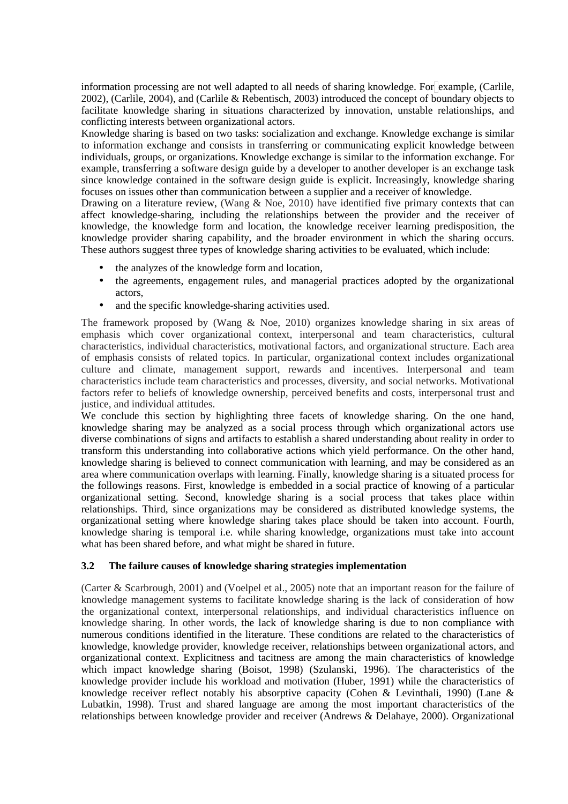information processing are not well adapted to all needs of sharing knowledge. For example, (Carlile, 2002), (Carlile, 2004), and (Carlile & Rebentisch, 2003) introduced the concept of boundary objects to facilitate knowledge sharing in situations characterized by innovation, unstable relationships, and conflicting interests between organizational actors.

Knowledge sharing is based on two tasks: socialization and exchange. Knowledge exchange is similar to information exchange and consists in transferring or communicating explicit knowledge between individuals, groups, or organizations. Knowledge exchange is similar to the information exchange. For example, transferring a software design guide by a developer to another developer is an exchange task since knowledge contained in the software design guide is explicit. Increasingly, knowledge sharing focuses on issues other than communication between a supplier and a receiver of knowledge.

Drawing on a literature review, (Wang & Noe, 2010) have identified five primary contexts that can affect knowledge-sharing, including the relationships between the provider and the receiver of knowledge, the knowledge form and location, the knowledge receiver learning predisposition, the knowledge provider sharing capability, and the broader environment in which the sharing occurs. These authors suggest three types of knowledge sharing activities to be evaluated, which include:

- the analyzes of the knowledge form and location,
- the agreements, engagement rules, and managerial practices adopted by the organizational actors,
- and the specific knowledge-sharing activities used.

The framework proposed by (Wang & Noe, 2010) organizes knowledge sharing in six areas of emphasis which cover organizational context, interpersonal and team characteristics, cultural characteristics, individual characteristics, motivational factors, and organizational structure. Each area of emphasis consists of related topics. In particular, organizational context includes organizational culture and climate, management support, rewards and incentives. Interpersonal and team characteristics include team characteristics and processes, diversity, and social networks. Motivational factors refer to beliefs of knowledge ownership, perceived benefits and costs, interpersonal trust and justice, and individual attitudes.

We conclude this section by highlighting three facets of knowledge sharing. On the one hand, knowledge sharing may be analyzed as a social process through which organizational actors use diverse combinations of signs and artifacts to establish a shared understanding about reality in order to transform this understanding into collaborative actions which yield performance. On the other hand, knowledge sharing is believed to connect communication with learning, and may be considered as an area where communication overlaps with learning. Finally, knowledge sharing is a situated process for the followings reasons. First, knowledge is embedded in a social practice of knowing of a particular organizational setting. Second, knowledge sharing is a social process that takes place within relationships. Third, since organizations may be considered as distributed knowledge systems, the organizational setting where knowledge sharing takes place should be taken into account. Fourth, knowledge sharing is temporal i.e. while sharing knowledge, organizations must take into account what has been shared before, and what might be shared in future.

#### **3.2 The failure causes of knowledge sharing strategies implementation**

(Carter & Scarbrough, 2001) and (Voelpel et al., 2005) note that an important reason for the failure of knowledge management systems to facilitate knowledge sharing is the lack of consideration of how the organizational context, interpersonal relationships, and individual characteristics influence on knowledge sharing. In other words, the lack of knowledge sharing is due to non compliance with numerous conditions identified in the literature. These conditions are related to the characteristics of knowledge, knowledge provider, knowledge receiver, relationships between organizational actors, and organizational context. Explicitness and tacitness are among the main characteristics of knowledge which impact knowledge sharing (Boisot, 1998) (Szulanski, 1996). The characteristics of the knowledge provider include his workload and motivation (Huber, 1991) while the characteristics of knowledge receiver reflect notably his absorptive capacity (Cohen & Levinthali, 1990) (Lane & Lubatkin, 1998). Trust and shared language are among the most important characteristics of the relationships between knowledge provider and receiver (Andrews & Delahaye, 2000). Organizational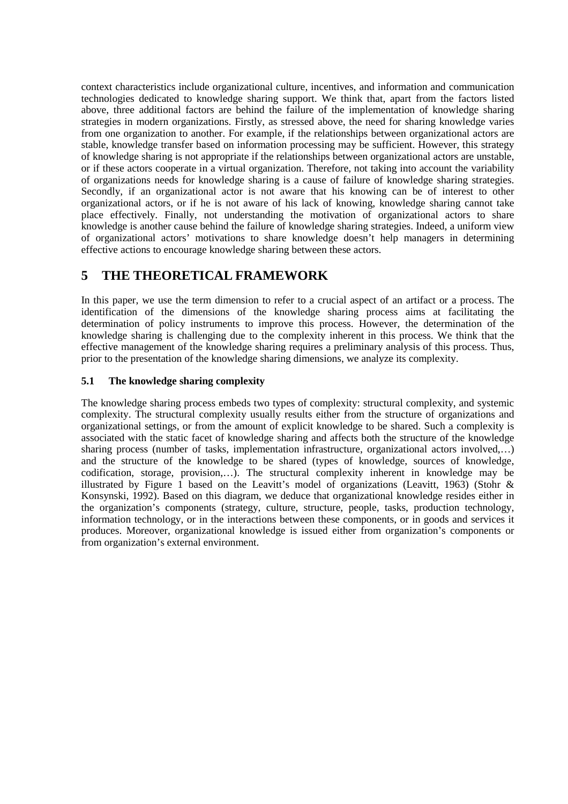context characteristics include organizational culture, incentives, and information and communication technologies dedicated to knowledge sharing support. We think that, apart from the factors listed above, three additional factors are behind the failure of the implementation of knowledge sharing strategies in modern organizations. Firstly, as stressed above, the need for sharing knowledge varies from one organization to another. For example, if the relationships between organizational actors are stable, knowledge transfer based on information processing may be sufficient. However, this strategy of knowledge sharing is not appropriate if the relationships between organizational actors are unstable, or if these actors cooperate in a virtual organization. Therefore, not taking into account the variability of organizations needs for knowledge sharing is a cause of failure of knowledge sharing strategies. Secondly, if an organizational actor is not aware that his knowing can be of interest to other organizational actors, or if he is not aware of his lack of knowing, knowledge sharing cannot take place effectively. Finally, not understanding the motivation of organizational actors to share knowledge is another cause behind the failure of knowledge sharing strategies. Indeed, a uniform view of organizational actors' motivations to share knowledge doesn't help managers in determining effective actions to encourage knowledge sharing between these actors.

# **5 THE THEORETICAL FRAMEWORK**

In this paper, we use the term dimension to refer to a crucial aspect of an artifact or a process. The identification of the dimensions of the knowledge sharing process aims at facilitating the determination of policy instruments to improve this process. However, the determination of the knowledge sharing is challenging due to the complexity inherent in this process. We think that the effective management of the knowledge sharing requires a preliminary analysis of this process. Thus, prior to the presentation of the knowledge sharing dimensions, we analyze its complexity.

#### **5.1 The knowledge sharing complexity**

The knowledge sharing process embeds two types of complexity: structural complexity, and systemic complexity. The structural complexity usually results either from the structure of organizations and organizational settings, or from the amount of explicit knowledge to be shared. Such a complexity is associated with the static facet of knowledge sharing and affects both the structure of the knowledge sharing process (number of tasks, implementation infrastructure, organizational actors involved,…) and the structure of the knowledge to be shared (types of knowledge, sources of knowledge, codification, storage, provision,…). The structural complexity inherent in knowledge may be illustrated by Figure 1 based on the Leavitt's model of organizations (Leavitt, 1963) (Stohr & Konsynski, 1992). Based on this diagram, we deduce that organizational knowledge resides either in the organization's components (strategy, culture, structure, people, tasks, production technology, information technology, or in the interactions between these components, or in goods and services it produces. Moreover, organizational knowledge is issued either from organization's components or from organization's external environment.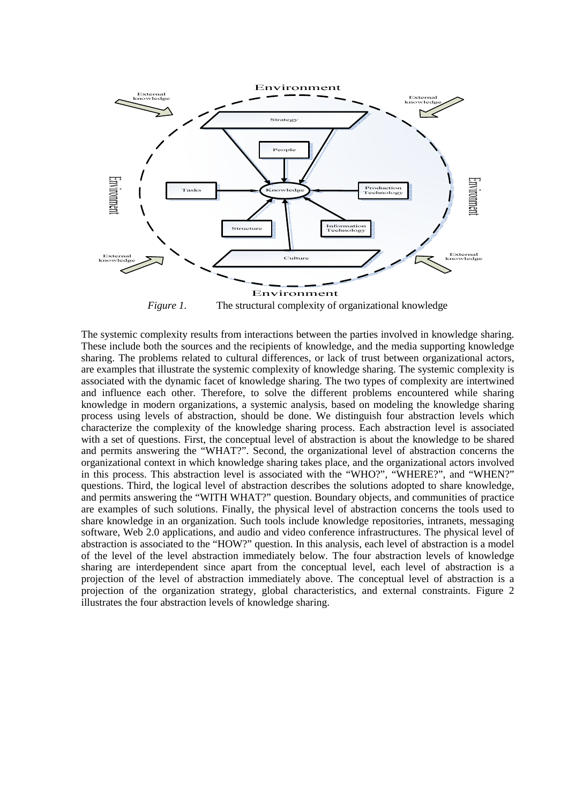

*Figure 1.* The structural complexity of organizational knowledge

The systemic complexity results from interactions between the parties involved in knowledge sharing. These include both the sources and the recipients of knowledge, and the media supporting knowledge sharing. The problems related to cultural differences, or lack of trust between organizational actors, are examples that illustrate the systemic complexity of knowledge sharing. The systemic complexity is associated with the dynamic facet of knowledge sharing. The two types of complexity are intertwined and influence each other. Therefore, to solve the different problems encountered while sharing knowledge in modern organizations, a systemic analysis, based on modeling the knowledge sharing process using levels of abstraction, should be done. We distinguish four abstraction levels which characterize the complexity of the knowledge sharing process. Each abstraction level is associated with a set of questions. First, the conceptual level of abstraction is about the knowledge to be shared and permits answering the "WHAT?". Second, the organizational level of abstraction concerns the organizational context in which knowledge sharing takes place, and the organizational actors involved in this process. This abstraction level is associated with the "WHO?", "WHERE?", and "WHEN?" questions. Third, the logical level of abstraction describes the solutions adopted to share knowledge, and permits answering the "WITH WHAT?" question. Boundary objects, and communities of practice are examples of such solutions. Finally, the physical level of abstraction concerns the tools used to share knowledge in an organization. Such tools include knowledge repositories, intranets, messaging software, Web 2.0 applications, and audio and video conference infrastructures. The physical level of abstraction is associated to the "HOW?" question. In this analysis, each level of abstraction is a model of the level of the level abstraction immediately below. The four abstraction levels of knowledge sharing are interdependent since apart from the conceptual level, each level of abstraction is a projection of the level of abstraction immediately above. The conceptual level of abstraction is a projection of the organization strategy, global characteristics, and external constraints. Figure 2 illustrates the four abstraction levels of knowledge sharing.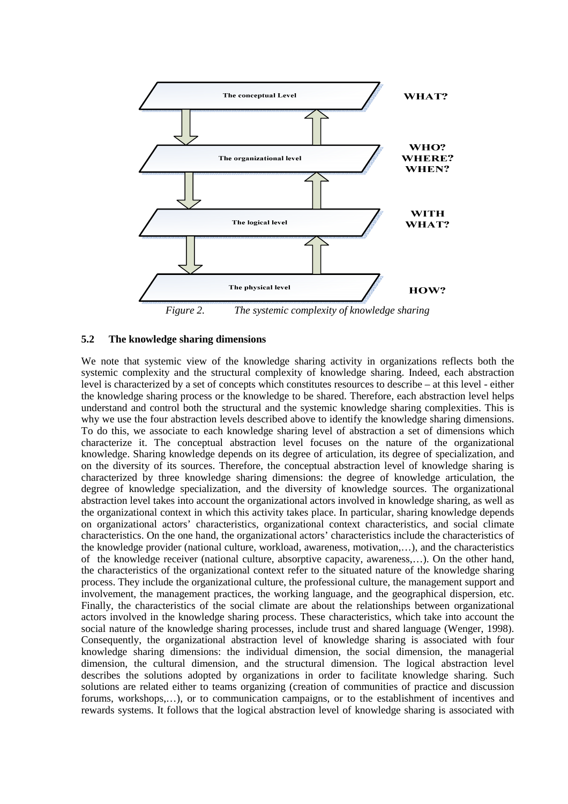

*Figure 2. The systemic complexity of knowledge sharing* 

#### **5.2 The knowledge sharing dimensions**

We note that systemic view of the knowledge sharing activity in organizations reflects both the systemic complexity and the structural complexity of knowledge sharing. Indeed, each abstraction level is characterized by a set of concepts which constitutes resources to describe – at this level - either the knowledge sharing process or the knowledge to be shared. Therefore, each abstraction level helps understand and control both the structural and the systemic knowledge sharing complexities. This is why we use the four abstraction levels described above to identify the knowledge sharing dimensions. To do this, we associate to each knowledge sharing level of abstraction a set of dimensions which characterize it. The conceptual abstraction level focuses on the nature of the organizational knowledge. Sharing knowledge depends on its degree of articulation, its degree of specialization, and on the diversity of its sources. Therefore, the conceptual abstraction level of knowledge sharing is characterized by three knowledge sharing dimensions: the degree of knowledge articulation, the degree of knowledge specialization, and the diversity of knowledge sources. The organizational abstraction level takes into account the organizational actors involved in knowledge sharing, as well as the organizational context in which this activity takes place. In particular, sharing knowledge depends on organizational actors' characteristics, organizational context characteristics, and social climate characteristics. On the one hand, the organizational actors' characteristics include the characteristics of the knowledge provider (national culture, workload, awareness, motivation,…), and the characteristics of the knowledge receiver (national culture, absorptive capacity, awareness,…). On the other hand, the characteristics of the organizational context refer to the situated nature of the knowledge sharing process. They include the organizational culture, the professional culture, the management support and involvement, the management practices, the working language, and the geographical dispersion, etc. Finally, the characteristics of the social climate are about the relationships between organizational actors involved in the knowledge sharing process. These characteristics, which take into account the social nature of the knowledge sharing processes, include trust and shared language (Wenger, 1998). Consequently, the organizational abstraction level of knowledge sharing is associated with four knowledge sharing dimensions: the individual dimension, the social dimension, the managerial dimension, the cultural dimension, and the structural dimension. The logical abstraction level describes the solutions adopted by organizations in order to facilitate knowledge sharing. Such solutions are related either to teams organizing (creation of communities of practice and discussion forums, workshops,…), or to communication campaigns, or to the establishment of incentives and rewards systems. It follows that the logical abstraction level of knowledge sharing is associated with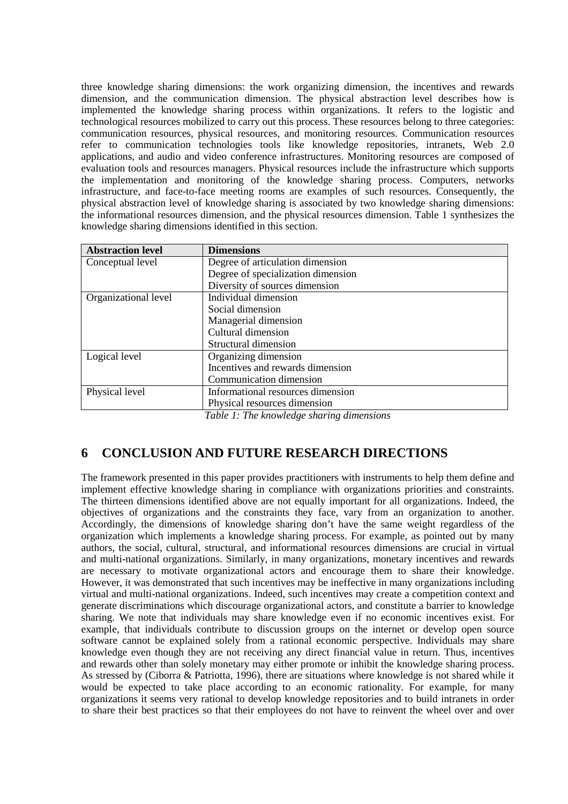three knowledge sharing dimensions: the work organizing dimension, the incentives and rewards dimension, and the communication dimension. The physical abstraction level describes how is implemented the knowledge sharing process within organizations. It refers to the logistic and technological resources mobilized to carry out this process. These resources belong to three categories: communication resources, physical resources, and monitoring resources. Communication resources refer to communication technologies tools like knowledge repositories, intranets, Web 2.0 applications, and audio and video conference infrastructures. Monitoring resources are composed of evaluation tools and resources managers. Physical resources include the infrastructure which supports the implementation and monitoring of the knowledge sharing process. Computers, networks infrastructure, and face-to-face meeting rooms are examples of such resources. Consequently, the physical abstraction level of knowledge sharing is associated by two knowledge sharing dimensions: the informational resources dimension, and the physical resources dimension. Table 1 synthesizes the knowledge sharing dimensions identified in this section.

| <b>Dimensions</b>                  |
|------------------------------------|
| Degree of articulation dimension   |
| Degree of specialization dimension |
| Diversity of sources dimension     |
| Individual dimension               |
| Social dimension                   |
| Managerial dimension               |
| Cultural dimension                 |
| Structural dimension               |
| Organizing dimension               |
| Incentives and rewards dimension   |
| Communication dimension            |
| Informational resources dimension  |
| Physical resources dimension       |
|                                    |

# *Table 1: The knowledge sharing dimensions*

## **6 CONCLUSION AND FUTURE RESEARCH DIRECTIONS**

The framework presented in this paper provides practitioners with instruments to help them define and implement effective knowledge sharing in compliance with organizations priorities and constraints. The thirteen dimensions identified above are not equally important for all organizations. Indeed, the objectives of organizations and the constraints they face, vary from an organization to another. Accordingly, the dimensions of knowledge sharing don't have the same weight regardless of the organization which implements a knowledge sharing process. For example, as pointed out by many authors, the social, cultural, structural, and informational resources dimensions are crucial in virtual and multi-national organizations. Similarly, in many organizations, monetary incentives and rewards are necessary to motivate organizational actors and encourage them to share their knowledge. However, it was demonstrated that such incentives may be ineffective in many organizations including virtual and multi-national organizations. Indeed, such incentives may create a competition context and generate discriminations which discourage organizational actors, and constitute a barrier to knowledge sharing. We note that individuals may share knowledge even if no economic incentives exist. For example, that individuals contribute to discussion groups on the internet or develop open source software cannot be explained solely from a rational economic perspective. Individuals may share knowledge even though they are not receiving any direct financial value in return. Thus, incentives and rewards other than solely monetary may either promote or inhibit the knowledge sharing process. As stressed by (Ciborra & Patriotta, 1996), there are situations where knowledge is not shared while it would be expected to take place according to an economic rationality. For example, for many organizations it seems very rational to develop knowledge repositories and to build intranets in order to share their best practices so that their employees do not have to reinvent the wheel over and over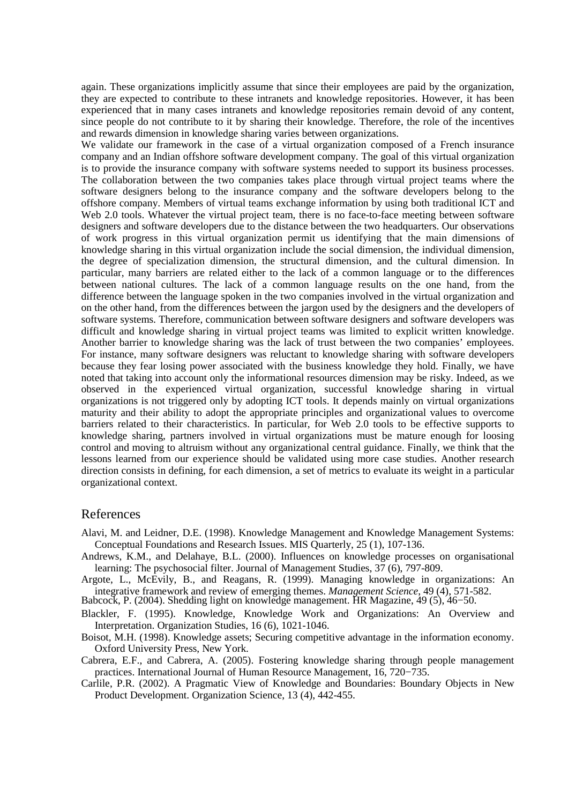again. These organizations implicitly assume that since their employees are paid by the organization, they are expected to contribute to these intranets and knowledge repositories. However, it has been experienced that in many cases intranets and knowledge repositories remain devoid of any content, since people do not contribute to it by sharing their knowledge. Therefore, the role of the incentives and rewards dimension in knowledge sharing varies between organizations.

We validate our framework in the case of a virtual organization composed of a French insurance company and an Indian offshore software development company. The goal of this virtual organization is to provide the insurance company with software systems needed to support its business processes. The collaboration between the two companies takes place through virtual project teams where the software designers belong to the insurance company and the software developers belong to the offshore company. Members of virtual teams exchange information by using both traditional ICT and Web 2.0 tools. Whatever the virtual project team, there is no face-to-face meeting between software designers and software developers due to the distance between the two headquarters. Our observations of work progress in this virtual organization permit us identifying that the main dimensions of knowledge sharing in this virtual organization include the social dimension, the individual dimension, the degree of specialization dimension, the structural dimension, and the cultural dimension. In particular, many barriers are related either to the lack of a common language or to the differences between national cultures. The lack of a common language results on the one hand, from the difference between the language spoken in the two companies involved in the virtual organization and on the other hand, from the differences between the jargon used by the designers and the developers of software systems. Therefore, communication between software designers and software developers was difficult and knowledge sharing in virtual project teams was limited to explicit written knowledge. Another barrier to knowledge sharing was the lack of trust between the two companies' employees. For instance, many software designers was reluctant to knowledge sharing with software developers because they fear losing power associated with the business knowledge they hold. Finally, we have noted that taking into account only the informational resources dimension may be risky. Indeed, as we observed in the experienced virtual organization, successful knowledge sharing in virtual organizations is not triggered only by adopting ICT tools. It depends mainly on virtual organizations maturity and their ability to adopt the appropriate principles and organizational values to overcome barriers related to their characteristics. In particular, for Web 2.0 tools to be effective supports to knowledge sharing, partners involved in virtual organizations must be mature enough for loosing control and moving to altruism without any organizational central guidance. Finally, we think that the lessons learned from our experience should be validated using more case studies. Another research direction consists in defining, for each dimension, a set of metrics to evaluate its weight in a particular organizational context.

#### References

- Alavi, M. and Leidner, D.E. (1998). Knowledge Management and Knowledge Management Systems: Conceptual Foundations and Research Issues. MIS Quarterly, 25 (1), 107-136.
- Andrews, K.M., and Delahaye, B.L. (2000). Influences on knowledge processes on organisational learning: The psychosocial filter. Journal of Management Studies, 37 (6), 797-809.
- Argote, L., McEvily, B., and Reagans, R. (1999). Managing knowledge in organizations: An integrative framework and review of emerging themes. *Management Science*, 49 (4), 571-582.

Babcock, P. (2004). Shedding light on knowledge management. HR Magazine, 49 (5), 46−50.

- Blackler, F. (1995). Knowledge, Knowledge Work and Organizations: An Overview and Interpretation. Organization Studies, 16 (6), 1021-1046.
- Boisot, M.H. (1998). Knowledge assets; Securing competitive advantage in the information economy. Oxford University Press, New York.
- Cabrera, E.F., and Cabrera, A. (2005). Fostering knowledge sharing through people management practices. International Journal of Human Resource Management, 16, 720−735.
- Carlile, P.R. (2002). A Pragmatic View of Knowledge and Boundaries: Boundary Objects in New Product Development. Organization Science, 13 (4), 442-455.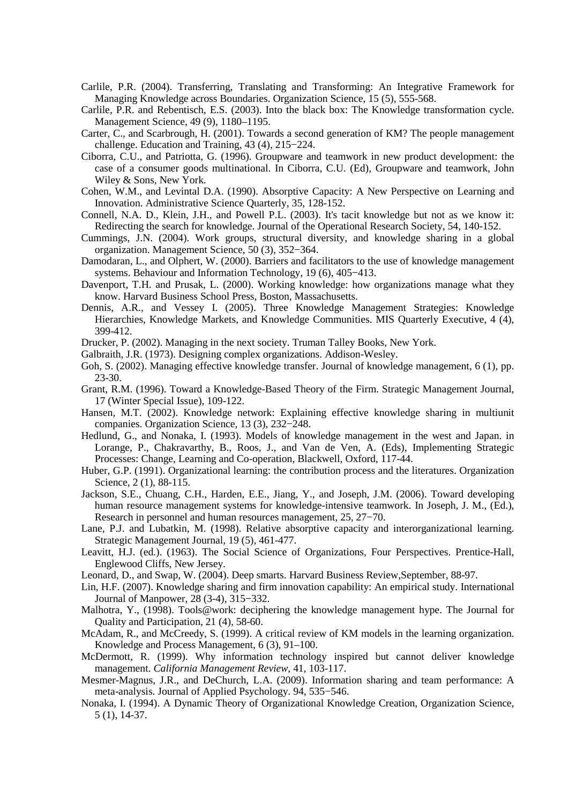- Carlile, P.R. (2004). Transferring, Translating and Transforming: An Integrative Framework for Managing Knowledge across Boundaries. Organization Science, 15 (5), 555-568.
- Carlile, P.R. and Rebentisch, E.S. (2003). Into the black box: The Knowledge transformation cycle. Management Science, 49 (9), 1180–1195.
- Carter, C., and Scarbrough, H. (2001). Towards a second generation of KM? The people management challenge. Education and Training, 43 (4), 215−224.
- Ciborra, C.U., and Patriotta, G. (1996). Groupware and teamwork in new product development: the case of a consumer goods multinational. In Ciborra, C.U. (Ed), Groupware and teamwork, John Wiley & Sons, New York.
- Cohen, W.M., and Levintal D.A. (1990). Absorptive Capacity: A New Perspective on Learning and Innovation. Administrative Science Quarterly, 35, 128-152.
- Connell, N.A. D., Klein, J.H., and Powell P.L. (2003). It's tacit knowledge but not as we know it: Redirecting the search for knowledge. Journal of the Operational Research Society, 54*,* 140-152.
- Cummings, J.N. (2004). Work groups, structural diversity, and knowledge sharing in a global organization. Management Science, 50 (3), 352−364.
- Damodaran, L., and Olphert, W. (2000). Barriers and facilitators to the use of knowledge management systems. Behaviour and Information Technology, 19 (6), 405−413.
- Davenport, T.H. and Prusak, L. (2000). Working knowledge: how organizations manage what they know. Harvard Business School Press, Boston, Massachusetts.
- Dennis, A.R., and Vessey I. (2005). Three Knowledge Management Strategies: Knowledge Hierarchies, Knowledge Markets, and Knowledge Communities. MIS Quarterly Executive, 4 (4), 399-412.
- Drucker, P. (2002). Managing in the next society. Truman Talley Books, New York.
- Galbraith, J.R. (1973). Designing complex organizations. Addison-Wesley.
- Goh, S. (2002). Managing effective knowledge transfer. Journal of knowledge management, 6 (1), pp. 23-30.
- Grant, R.M. (1996). Toward a Knowledge-Based Theory of the Firm. Strategic Management Journal, 17 (Winter Special Issue), 109-122.
- Hansen, M.T. (2002). Knowledge network: Explaining effective knowledge sharing in multiunit companies. Organization Science, 13 (3), 232−248.
- Hedlund, G., and Nonaka, I. (1993). Models of knowledge management in the west and Japan. in Lorange, P., Chakravarthy, B., Roos, J., and Van de Ven, A. (Eds), Implementing Strategic Processes: Change, Learning and Co-operation, Blackwell, Oxford, 117-44.
- Huber, G.P. (1991). Organizational learning: the contribution process and the literatures. Organization Science, 2 (1), 88-115.
- Jackson, S.E., Chuang, C.H., Harden, E.E., Jiang, Y., and Joseph, J.M. (2006). Toward developing human resource management systems for knowledge-intensive teamwork. In Joseph, J. M., (Ed.), Research in personnel and human resources management, 25, 27−70.
- Lane, P.J. and Lubatkin, M. (1998). Relative absorptive capacity and interorganizational learning. Strategic Management Journal, 19 (5), 461-477.
- Leavitt, H.J. (ed.). (1963). The Social Science of Organizations, Four Perspectives. Prentice-Hall, Englewood Cliffs, New Jersey.
- Leonard, D., and Swap, W. (2004). Deep smarts. Harvard Business Review,September, 88-97.
- Lin, H.F. (2007). Knowledge sharing and firm innovation capability: An empirical study. International Journal of Manpower, 28 (3-4), 315−332.
- Malhotra, Y., (1998). Tools@work: deciphering the knowledge management hype. The Journal for Quality and Participation, 21 (4), 58-60.
- McAdam, R., and McCreedy, S. (1999). A critical review of KM models in the learning organization. Knowledge and Process Management, 6 (3), 91–100.
- McDermott, R. (1999). Why information technology inspired but cannot deliver knowledge management. *California Management Review*, 41, 103-117.
- Mesmer-Magnus, J.R., and DeChurch, L.A. (2009). Information sharing and team performance: A meta-analysis. Journal of Applied Psychology. 94, 535−546.
- Nonaka, I. (1994). A Dynamic Theory of Organizational Knowledge Creation, Organization Science, 5 (1), 14-37.